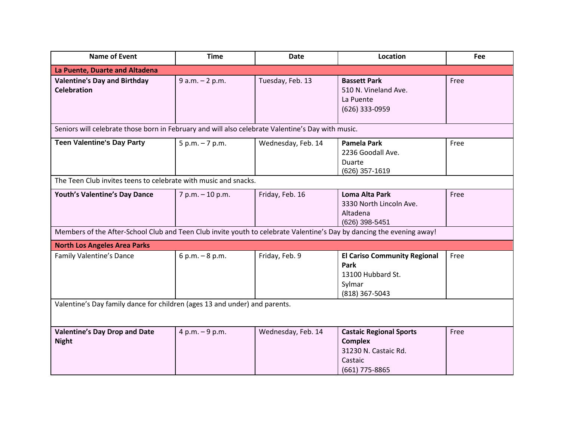| <b>Name of Event</b>                                                                                                  | <b>Time</b>        | <b>Date</b>        | Location                                                                                              | Fee  |  |
|-----------------------------------------------------------------------------------------------------------------------|--------------------|--------------------|-------------------------------------------------------------------------------------------------------|------|--|
| La Puente, Duarte and Altadena                                                                                        |                    |                    |                                                                                                       |      |  |
| <b>Valentine's Day and Birthday</b><br><b>Celebration</b>                                                             | $9 a.m. - 2 p.m.$  | Tuesday, Feb. 13   | <b>Bassett Park</b><br>510 N. Vineland Ave.<br>La Puente<br>(626) 333-0959                            | Free |  |
| Seniors will celebrate those born in February and will also celebrate Valentine's Day with music.                     |                    |                    |                                                                                                       |      |  |
| <b>Teen Valentine's Day Party</b>                                                                                     | $5 p.m. - 7 p.m.$  | Wednesday, Feb. 14 | Pamela Park<br>2236 Goodall Ave.<br>Duarte<br>(626) 357-1619                                          | Free |  |
| The Teen Club invites teens to celebrate with music and snacks.                                                       |                    |                    |                                                                                                       |      |  |
| Youth's Valentine's Day Dance                                                                                         | $7 p.m. - 10 p.m.$ | Friday, Feb. 16    | <b>Loma Alta Park</b><br>3330 North Lincoln Ave.<br>Altadena<br>(626) 398-5451                        | Free |  |
| Members of the After-School Club and Teen Club invite youth to celebrate Valentine's Day by dancing the evening away! |                    |                    |                                                                                                       |      |  |
| <b>North Los Angeles Area Parks</b>                                                                                   |                    |                    |                                                                                                       |      |  |
| <b>Family Valentine's Dance</b>                                                                                       | $6 p.m. - 8 p.m.$  | Friday, Feb. 9     | <b>El Cariso Community Regional</b><br><b>Park</b><br>13100 Hubbard St.<br>Sylmar<br>(818) 367-5043   | Free |  |
| Valentine's Day family dance for children (ages 13 and under) and parents.                                            |                    |                    |                                                                                                       |      |  |
| <b>Valentine's Day Drop and Date</b><br><b>Night</b>                                                                  | 4 p.m. $-9$ p.m.   | Wednesday, Feb. 14 | <b>Castaic Regional Sports</b><br><b>Complex</b><br>31230 N. Castaic Rd.<br>Castaic<br>(661) 775-8865 | Free |  |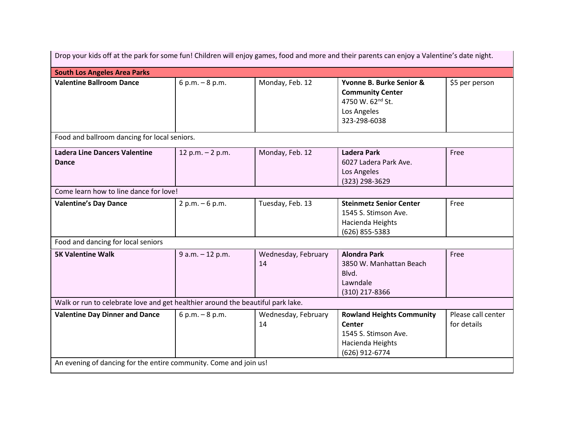| Drop your kids off at the park for some fun! Children will enjoy games, food and more and their parents can enjoy a Valentine's date night. |                    |                           |                                                                                                                 |                                   |  |
|---------------------------------------------------------------------------------------------------------------------------------------------|--------------------|---------------------------|-----------------------------------------------------------------------------------------------------------------|-----------------------------------|--|
| <b>South Los Angeles Area Parks</b>                                                                                                         |                    |                           |                                                                                                                 |                                   |  |
| <b>Valentine Ballroom Dance</b>                                                                                                             | $6 p.m. - 8 p.m.$  | Monday, Feb. 12           | Yvonne B. Burke Senior &<br><b>Community Center</b><br>4750 W. 62nd St.<br>Los Angeles<br>323-298-6038          | \$5 per person                    |  |
| Food and ballroom dancing for local seniors.                                                                                                |                    |                           |                                                                                                                 |                                   |  |
| <b>Ladera Line Dancers Valentine</b><br><b>Dance</b>                                                                                        | 12 p.m. $- 2$ p.m. | Monday, Feb. 12           | <b>Ladera Park</b><br>6027 Ladera Park Ave.<br>Los Angeles<br>(323) 298-3629                                    | Free                              |  |
| Come learn how to line dance for love!                                                                                                      |                    |                           |                                                                                                                 |                                   |  |
| <b>Valentine's Day Dance</b>                                                                                                                | $2 p.m. - 6 p.m.$  | Tuesday, Feb. 13          | <b>Steinmetz Senior Center</b><br>1545 S. Stimson Ave.<br>Hacienda Heights<br>(626) 855-5383                    | Free                              |  |
| Food and dancing for local seniors                                                                                                          |                    |                           |                                                                                                                 |                                   |  |
| <b>5K Valentine Walk</b>                                                                                                                    | 9 a.m. - 12 p.m.   | Wednesday, February<br>14 | <b>Alondra Park</b><br>3850 W. Manhattan Beach<br>Blvd.<br>Lawndale<br>(310) 217-8366                           | Free                              |  |
| Walk or run to celebrate love and get healthier around the beautiful park lake.                                                             |                    |                           |                                                                                                                 |                                   |  |
| <b>Valentine Day Dinner and Dance</b>                                                                                                       | $6 p.m. - 8 p.m.$  | Wednesday, February<br>14 | <b>Rowland Heights Community</b><br><b>Center</b><br>1545 S. Stimson Ave.<br>Hacienda Heights<br>(626) 912-6774 | Please call center<br>for details |  |
| An evening of dancing for the entire community. Come and join us!                                                                           |                    |                           |                                                                                                                 |                                   |  |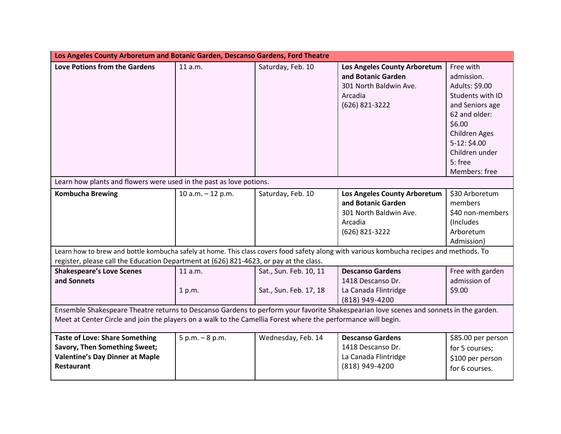| Los Angeles County Arboretum and Botanic Garden, Descanso Gardens, Ford Theatre                                                         |                     |                        |                              |                    |
|-----------------------------------------------------------------------------------------------------------------------------------------|---------------------|------------------------|------------------------------|--------------------|
| <b>Love Potions from the Gardens</b>                                                                                                    | 11 a.m.             | Saturday, Feb. 10      | Los Angeles County Arboretum | Free with          |
|                                                                                                                                         |                     |                        | and Botanic Garden           | admission.         |
|                                                                                                                                         |                     |                        | 301 North Baldwin Ave.       | Adults: \$9.00     |
|                                                                                                                                         |                     |                        | Arcadia                      | Students with ID   |
|                                                                                                                                         |                     |                        | (626) 821-3222               | and Seniors age    |
|                                                                                                                                         |                     |                        |                              | 62 and older:      |
|                                                                                                                                         |                     |                        |                              | \$6.00             |
|                                                                                                                                         |                     |                        |                              | Children Ages      |
|                                                                                                                                         |                     |                        |                              | 5-12: \$4.00       |
|                                                                                                                                         |                     |                        |                              | Children under     |
|                                                                                                                                         |                     |                        |                              | 5: free            |
|                                                                                                                                         |                     |                        |                              | Members: free      |
| Learn how plants and flowers were used in the past as love potions.                                                                     |                     |                        |                              |                    |
| <b>Kombucha Brewing</b>                                                                                                                 | 10 a.m. $-$ 12 p.m. | Saturday, Feb. 10      | Los Angeles County Arboretum | \$30 Arboretum     |
|                                                                                                                                         |                     |                        | and Botanic Garden           | members            |
|                                                                                                                                         |                     |                        | 301 North Baldwin Ave.       | \$40 non-members   |
|                                                                                                                                         |                     |                        | Arcadia                      | (Includes)         |
|                                                                                                                                         |                     |                        | (626) 821-3222               | Arboretum          |
|                                                                                                                                         |                     |                        |                              | Admission)         |
| Learn how to brew and bottle kombucha safely at home. This class covers food safety along with various kombucha recipes and methods. To |                     |                        |                              |                    |
| register, please call the Education Department at (626) 821-4623, or pay at the class.                                                  |                     |                        |                              |                    |
| <b>Shakespeare's Love Scenes</b>                                                                                                        | 11 a.m.             | Sat., Sun. Feb. 10, 11 | <b>Descanso Gardens</b>      | Free with garden   |
| and Sonnets                                                                                                                             |                     |                        | 1418 Descanso Dr.            | admission of       |
|                                                                                                                                         | 1 p.m.              | Sat., Sun. Feb. 17, 18 | La Canada Flintridge         | \$9.00             |
|                                                                                                                                         |                     |                        | (818) 949-4200               |                    |
| Ensemble Shakespeare Theatre returns to Descanso Gardens to perform your favorite Shakespearian love scenes and sonnets in the garden.  |                     |                        |                              |                    |
| Meet at Center Circle and join the players on a walk to the Camellia Forest where the performance will begin.                           |                     |                        |                              |                    |
| <b>Taste of Love: Share Something</b>                                                                                                   | $5 p.m. - 8 p.m.$   | Wednesday, Feb. 14     | <b>Descanso Gardens</b>      | \$85.00 per person |
| <b>Savory, Then Something Sweet;</b>                                                                                                    |                     |                        | 1418 Descanso Dr.            | for 5 courses;     |
| <b>Valentine's Day Dinner at Maple</b>                                                                                                  |                     |                        | La Canada Flintridge         | \$100 per person   |
| <b>Restaurant</b>                                                                                                                       |                     |                        | (818) 949-4200               | for 6 courses.     |
|                                                                                                                                         |                     |                        |                              |                    |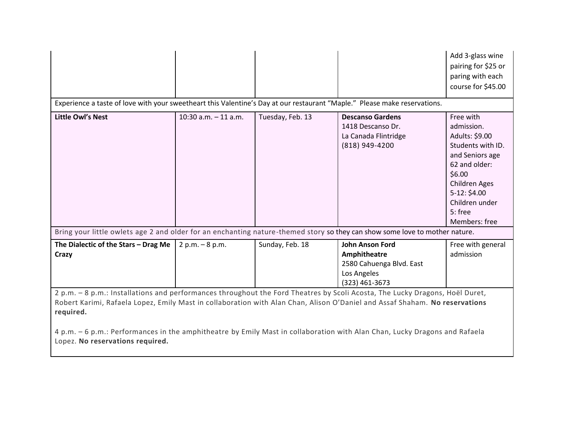|                                                                                                                                                                                                                                                                                                                                                                                                                                            |                         |                  |                                                                                                     | Add 3-glass wine<br>pairing for \$25 or<br>paring with each<br>course for \$45.00                                                                                                            |
|--------------------------------------------------------------------------------------------------------------------------------------------------------------------------------------------------------------------------------------------------------------------------------------------------------------------------------------------------------------------------------------------------------------------------------------------|-------------------------|------------------|-----------------------------------------------------------------------------------------------------|----------------------------------------------------------------------------------------------------------------------------------------------------------------------------------------------|
| Experience a taste of love with your sweetheart this Valentine's Day at our restaurant "Maple." Please make reservations.                                                                                                                                                                                                                                                                                                                  |                         |                  |                                                                                                     |                                                                                                                                                                                              |
| <b>Little Owl's Nest</b>                                                                                                                                                                                                                                                                                                                                                                                                                   | $10:30$ a.m. $-11$ a.m. | Tuesday, Feb. 13 | <b>Descanso Gardens</b><br>1418 Descanso Dr.<br>La Canada Flintridge<br>(818) 949-4200              | Free with<br>admission.<br>Adults: \$9.00<br>Students with ID.<br>and Seniors age<br>62 and older:<br>\$6.00<br>Children Ages<br>$5-12: $4.00$<br>Children under<br>5: free<br>Members: free |
| Bring your little owlets age 2 and older for an enchanting nature-themed story so they can show some love to mother nature.                                                                                                                                                                                                                                                                                                                |                         |                  |                                                                                                     |                                                                                                                                                                                              |
| The Dialectic of the Stars - Drag Me<br>Crazy                                                                                                                                                                                                                                                                                                                                                                                              | $2 p.m. - 8 p.m.$       | Sunday, Feb. 18  | <b>John Anson Ford</b><br>Amphitheatre<br>2580 Cahuenga Blvd. East<br>Los Angeles<br>(323) 461-3673 | Free with general<br>admission                                                                                                                                                               |
| 2 p.m. - 8 p.m.: Installations and performances throughout the Ford Theatres by Scoli Acosta, The Lucky Dragons, Hoël Duret,<br>Robert Karimi, Rafaela Lopez, Emily Mast in collaboration with Alan Chan, Alison O'Daniel and Assaf Shaham. No reservations<br>required.<br>4 p.m. - 6 p.m.: Performances in the amphitheatre by Emily Mast in collaboration with Alan Chan, Lucky Dragons and Rafaela<br>Lopez. No reservations required. |                         |                  |                                                                                                     |                                                                                                                                                                                              |